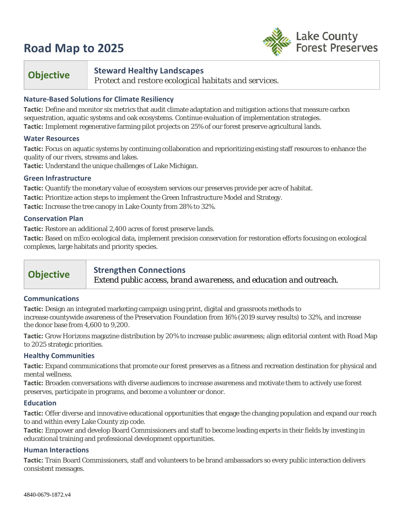# **Road Map to 2025**



# **Objective Steward Healthy Landscapes**

*Protect and restore ecological habitats and services.*

# **Nature-Based Solutions for Climate Resiliency**

**Tactic:** Define and monitor six metrics that audit climate adaptation and mitigation actions that measure carbon sequestration, aquatic systems and oak ecosystems. Continue evaluation of implementation strategies. **Tactic:** Implement regenerative farming pilot projects on 25% of our forest preserve agricultural lands.

## **Water Resources**

**Tactic:** Focus on aquatic systems by continuing collaboration and reprioritizing existing staff resources to enhance the quality of our rivers, streams and lakes.

**Tactic:** Understand the unique challenges of Lake Michigan.

## **Green Infrastructure**

**Tactic:** Quantify the monetary value of ecosystem services our preserves provide per acre of habitat. **Tactic:** Prioritize action steps to implement the Green Infrastructure Model and Strategy. **Tactic:** Increase the tree canopy in Lake County from 28% to 32%.

## **Conservation Plan**

**Tactic:** Restore an additional 2,400 acres of forest preserve lands.

**Tactic:** Based on mEco ecological data, implement precision conservation for restoration efforts focusing on ecological complexes, large habitats and priority species.

# **Objective Strengthen Connections**

*Extend public access, brand awareness, and education and outreach.* 

# **Communications**

**Tactic:** Design an integrated marketing campaign using print, digital and grassroots methods to increase countywide awareness of the Preservation Foundation from 16% (2019 survey results) to 32%, and increase the donor base from 4,600 to 9,200.

**Tactic:** Grow *Horizons* magazine distribution by 20% to increase public awareness; align editorial content with Road Map to 2025 strategic priorities.

#### **Healthy Communities**

**Tactic:** Expand communications that promote our forest preserves as a fitness and recreation destination for physical and mental wellness.

**Tactic:** Broaden conversations with diverse audiences to increase awareness and motivate them to actively use forest preserves, participate in programs, and become a volunteer or donor.

#### **Education**

**Tactic:** Offer diverse and innovative educational opportunities that engage the changing population and expand our reach to and within every Lake County zip code.

**Tactic:** Empower and develop Board Commissioners and staff to become leading experts in their fields by investing in educational training and professional development opportunities.

#### **Human Interactions**

**Tactic:** Train Board Commissioners, staff and volunteers to be brand ambassadors so every public interaction delivers consistent messages.